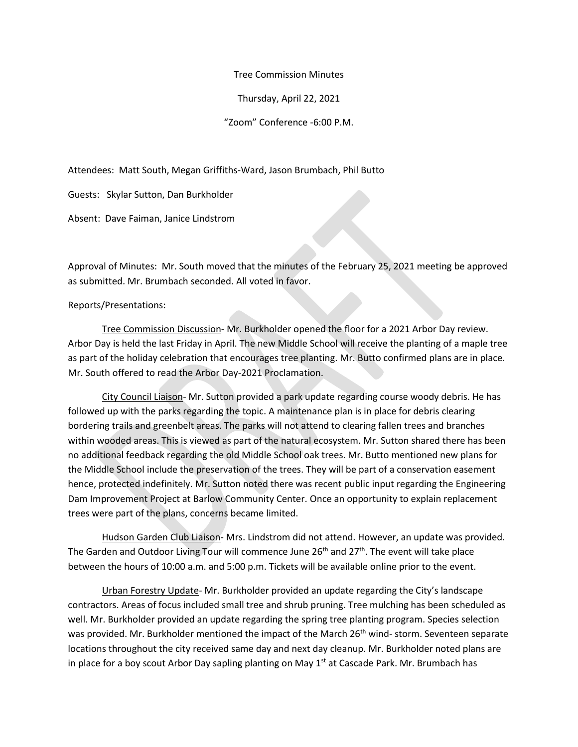Tree Commission Minutes

Thursday, April 22, 2021

"Zoom" Conference -6:00 P.M.

Attendees: Matt South, Megan Griffiths-Ward, Jason Brumbach, Phil Butto

Guests: Skylar Sutton, Dan Burkholder

Absent: Dave Faiman, Janice Lindstrom

Approval of Minutes: Mr. South moved that the minutes of the February 25, 2021 meeting be approved as submitted. Mr. Brumbach seconded. All voted in favor.

Reports/Presentations:

Tree Commission Discussion- Mr. Burkholder opened the floor for a 2021 Arbor Day review. Arbor Day is held the last Friday in April. The new Middle School will receive the planting of a maple tree as part of the holiday celebration that encourages tree planting. Mr. Butto confirmed plans are in place. Mr. South offered to read the Arbor Day-2021 Proclamation.

City Council Liaison- Mr. Sutton provided a park update regarding course woody debris. He has followed up with the parks regarding the topic. A maintenance plan is in place for debris clearing bordering trails and greenbelt areas. The parks will not attend to clearing fallen trees and branches within wooded areas. This is viewed as part of the natural ecosystem. Mr. Sutton shared there has been no additional feedback regarding the old Middle School oak trees. Mr. Butto mentioned new plans for the Middle School include the preservation of the trees. They will be part of a conservation easement hence, protected indefinitely. Mr. Sutton noted there was recent public input regarding the Engineering Dam Improvement Project at Barlow Community Center. Once an opportunity to explain replacement trees were part of the plans, concerns became limited.

Hudson Garden Club Liaison- Mrs. Lindstrom did not attend. However, an update was provided. The Garden and Outdoor Living Tour will commence June 26<sup>th</sup> and 27<sup>th</sup>. The event will take place between the hours of 10:00 a.m. and 5:00 p.m. Tickets will be available online prior to the event.

Urban Forestry Update- Mr. Burkholder provided an update regarding the City's landscape contractors. Areas of focus included small tree and shrub pruning. Tree mulching has been scheduled as well. Mr. Burkholder provided an update regarding the spring tree planting program. Species selection was provided. Mr. Burkholder mentioned the impact of the March 26<sup>th</sup> wind- storm. Seventeen separate locations throughout the city received same day and next day cleanup. Mr. Burkholder noted plans are in place for a boy scout Arbor Day sapling planting on May 1<sup>st</sup> at Cascade Park. Mr. Brumbach has